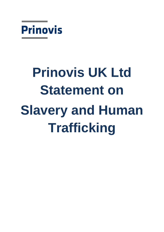

# **Prinovis UK Ltd Statement on Slavery and Human Trafficking**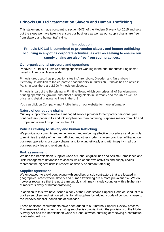# **Prinovis UK Ltd Statement on Slavery and Human Trafficking**

This statement is made pursuant to section 54(1) of the Modern Slavery Act 2015 and sets out the steps we have taken to ensure our business as well as our supply chains are free from slavery and human trafficking.

# **Introduction**

# **Prinovis UK Ltd is committed to preventing slavery and human trafficking occurring in any of its corporate activities, as well as seeking to ensure our supply chains are also free from such practices.**

# **Our organisational structure and operations**

Prinovis UK Ltd is a Gravure printing specialist working in the print manufacturing sector, based in Liverpool, Merseyside.

Prinovis group also has production sites in Ahrensburg, Dresden and Nuremberg in Germany. In addition to the corporate headquarters in Gütersloh, Prinovis has an office in Paris. In total there are 2,300 Prinovis employees.

Prinovis is part of the Bertelsmann Printing Group which comprises all of Bertelsmann's printing operations: gravure and offset printing plants in Germany and the UK as well as offset and digital printing facilities in the U.S.

You can click on Company and Profile links on our website for more information.

### **Nature of our supply chains**

Our key supply chains involve a managed service provider for temporary personnel plus print partners, paper mills and ink suppliers for manufacturing purposes mainly from UK and Europe and a small proportion in the US.

# **Policies relating to slavery and human trafficking**

We provide our commitment implementing and enforcing effective procedures and controls to minimise the risks of human trafficking and other modern slavery practices infiltrating our business operations or supply chains, and to acting ethically and with integrity in all our business activities and relationships.

### **Risk assessment**

We use the Bertelsmann Supplier Code of Conduct guidelines and Assist4 Compliance and Risk Management databases to assess which of our own activities and supply chains represent the highest risks in respect of slavery or human trafficking.

### **Supplier agreement**

We endeavour to avoid contracting with suppliers or sub-contractors that are located in geographical areas where slavery and human trafficking are a more prevalent risk. We do however recognise that the upstream supply chain may include countries with a higher risk of modern slavery or human trafficking.

In addition to this, we have issued a copy of the Bertelsmann Supplier Code of Conduct to all our key suppliers and reinforced this for all suppliers by adding a code of conduct clause to the Prinovis supplier conditions of purchase.

These additional requirements have been added to our Internal Supplier Review process. This ensures that any new or existing supplier is compliant with the provisions of the Modern Slavery Act and the Bertelsmann Code of Conduct when entering or renewing a contractual relationship with us.